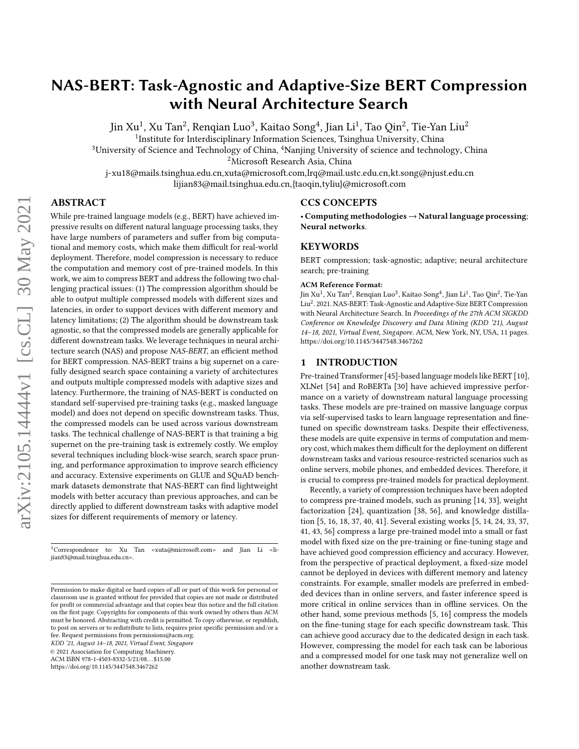# NAS-BERT: Task-Agnostic and Adaptive-Size BERT Compression with Neural Architecture Search

Jin Xu $^1$ , Xu Tan $^2$ , Renqian Luo $^3$ , Kaitao Song $^4$ , Jian Li $^1$ , Tao Qin $^2$ , Tie-Yan Liu $^2$ 

<sup>1</sup>Institute for Interdisciplinary Information Sciences, Tsinghua University, China

<sup>3</sup>University of Science and Technology of China, <sup>4</sup>Nanjing University of science and technology, China

<sup>2</sup>Microsoft Research Asia, China

j-xu18@mails.tsinghua.edu.cn,xuta@microsoft.com,lrq@mail.ustc.edu.cn,kt.song@njust.edu.cn lijian83@mail.tsinghua.edu.cn,{taoqin,tyliu}@microsoft.com

# ABSTRACT

While pre-trained language models (e.g., BERT) have achieved impressive results on different natural language processing tasks, they have large numbers of parameters and suffer from big computational and memory costs, which make them difficult for real-world deployment. Therefore, model compression is necessary to reduce the computation and memory cost of pre-trained models. In this work, we aim to compress BERT and address the following two challenging practical issues: (1) The compression algorithm should be able to output multiple compressed models with different sizes and latencies, in order to support devices with different memory and latency limitations; (2) The algorithm should be downstream task agnostic, so that the compressed models are generally applicable for different downstream tasks. We leverage techniques in neural architecture search (NAS) and propose NAS-BERT, an efficient method for BERT compression. NAS-BERT trains a big supernet on a carefully designed search space containing a variety of architectures and outputs multiple compressed models with adaptive sizes and latency. Furthermore, the training of NAS-BERT is conducted on standard self-supervised pre-training tasks (e.g., masked language model) and does not depend on specific downstream tasks. Thus, the compressed models can be used across various downstream tasks. The technical challenge of NAS-BERT is that training a big supernet on the pre-training task is extremely costly. We employ several techniques including block-wise search, search space pruning, and performance approximation to improve search efficiency and accuracy. Extensive experiments on GLUE and SQuAD benchmark datasets demonstrate that NAS-BERT can find lightweight models with better accuracy than previous approaches, and can be directly applied to different downstream tasks with adaptive model sizes for different requirements of memory or latency.

 $1$ Correspondence to: Xu Tan <xuta@microsoft.com> and Jian Li <lijian83@mail.tsinghua.edu.cn>.

KDD '21, August 14–18, 2021, Virtual Event, Singapore

© 2021 Association for Computing Machinery.

ACM ISBN 978-1-4503-8332-5/21/08. . . \$15.00

<https://doi.org/10.1145/3447548.3467262>

# CCS CONCEPTS

• Computing methodologies  $\rightarrow$  Natural language processing; Neural networks.

# **KEYWORDS**

BERT compression; task-agnostic; adaptive; neural architecture search; pre-training

#### ACM Reference Format:

Jin Xu<sup>1</sup>, Xu Tan<sup>2</sup>, Renqian Luo<sup>3</sup>, Kaitao Song<sup>4</sup>, Jian Li<sup>1</sup>, Tao Qin<sup>2</sup>, Tie-Yan Liu<sup>2</sup>. 2021. NAS-BERT: Task-Agnostic and Adaptive-Size BERT Compression with Neural Architecture Search. In Proceedings of the 27th ACM SIGKDD Conference on Knowledge Discovery and Data Mining (KDD '21), August 14–18, 2021, Virtual Event, Singapore. ACM, New York, NY, USA, [11](#page-10-0) pages. <https://doi.org/10.1145/3447548.3467262>

#### 1 INTRODUCTION

Pre-trained Transformer [\[45\]](#page-8-0)-based language models like BERT [\[10\]](#page-8-1), XLNet [\[54\]](#page-8-2) and RoBERTa [\[30\]](#page-8-3) have achieved impressive performance on a variety of downstream natural language processing tasks. These models are pre-trained on massive language corpus via self-supervised tasks to learn language representation and finetuned on specific downstream tasks. Despite their effectiveness, these models are quite expensive in terms of computation and memory cost, which makes them difficult for the deployment on different downstream tasks and various resource-restricted scenarios such as online servers, mobile phones, and embedded devices. Therefore, it is crucial to compress pre-trained models for practical deployment.

Recently, a variety of compression techniques have been adopted to compress pre-trained models, such as pruning [\[14,](#page-8-4) [33\]](#page-8-5), weight factorization [\[24\]](#page-8-6), quantization [\[38,](#page-8-7) [56\]](#page-8-8), and knowledge distillation [\[5,](#page-7-0) [16,](#page-8-9) [18,](#page-8-10) [37,](#page-8-11) [40,](#page-8-12) [41\]](#page-8-13). Several existing works [\[5,](#page-7-0) [14,](#page-8-4) [24,](#page-8-6) [33,](#page-8-5) [37,](#page-8-11) [41,](#page-8-13) [43,](#page-8-14) [56\]](#page-8-8) compress a large pre-trained model into a small or fast model with fixed size on the pre-training or fine-tuning stage and have achieved good compression efficiency and accuracy. However, from the perspective of practical deployment, a fixed-size model cannot be deployed in devices with different memory and latency constraints. For example, smaller models are preferred in embedded devices than in online servers, and faster inference speed is more critical in online services than in offline services. On the other hand, some previous methods [\[5,](#page-7-0) [16\]](#page-8-9) compress the models on the fine-tuning stage for each specific downstream task. This can achieve good accuracy due to the dedicated design in each task. However, compressing the model for each task can be laborious and a compressed model for one task may not generalize well on another downstream task.

Permission to make digital or hard copies of all or part of this work for personal or classroom use is granted without fee provided that copies are not made or distributed for profit or commercial advantage and that copies bear this notice and the full citation on the first page. Copyrights for components of this work owned by others than ACM must be honored. Abstracting with credit is permitted. To copy otherwise, or republish, to post on servers or to redistribute to lists, requires prior specific permission and/or a fee. Request permissions from permissions@acm.org.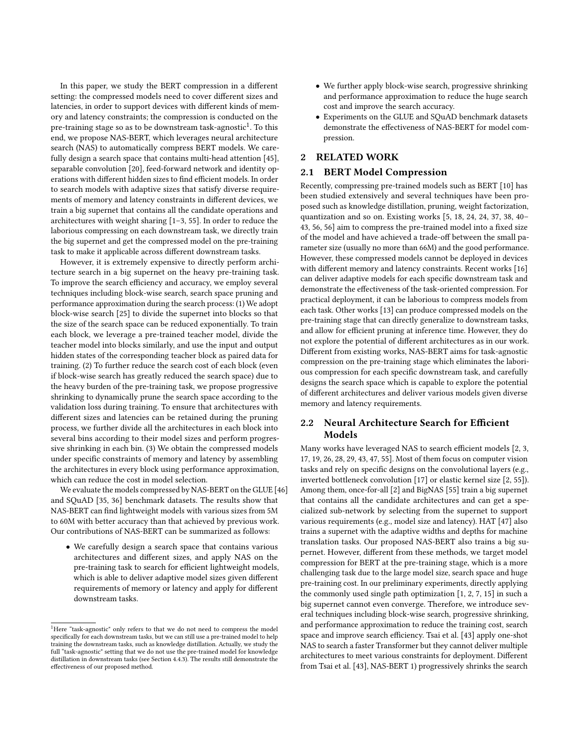In this paper, we study the BERT compression in a different setting: the compressed models need to cover different sizes and latencies, in order to support devices with different kinds of memory and latency constraints; the compression is conducted on the pre-training stage so as to be downstream task-agnostic $^{\rm 1}.$  $^{\rm 1}.$  $^{\rm 1}.$  To this end, we propose NAS-BERT, which leverages neural architecture search (NAS) to automatically compress BERT models. We carefully design a search space that contains multi-head attention [\[45\]](#page-8-0), separable convolution [\[20\]](#page-8-15), feed-forward network and identity operations with different hidden sizes to find efficient models. In order to search models with adaptive sizes that satisfy diverse requirements of memory and latency constraints in different devices, we train a big supernet that contains all the candidate operations and architectures with weight sharing [\[1](#page-7-1)[–3,](#page-7-2) [55\]](#page-8-16). In order to reduce the laborious compressing on each downstream task, we directly train the big supernet and get the compressed model on the pre-training task to make it applicable across different downstream tasks.

However, it is extremely expensive to directly perform architecture search in a big supernet on the heavy pre-training task. To improve the search efficiency and accuracy, we employ several techniques including block-wise search, search space pruning and performance approximation during the search process: (1) We adopt block-wise search [\[25\]](#page-8-17) to divide the supernet into blocks so that the size of the search space can be reduced exponentially. To train each block, we leverage a pre-trained teacher model, divide the teacher model into blocks similarly, and use the input and output hidden states of the corresponding teacher block as paired data for training. (2) To further reduce the search cost of each block (even if block-wise search has greatly reduced the search space) due to the heavy burden of the pre-training task, we propose progressive shrinking to dynamically prune the search space according to the validation loss during training. To ensure that architectures with different sizes and latencies can be retained during the pruning process, we further divide all the architectures in each block into several bins according to their model sizes and perform progressive shrinking in each bin. (3) We obtain the compressed models under specific constraints of memory and latency by assembling the architectures in every block using performance approximation, which can reduce the cost in model selection.

We evaluate the models compressed by NAS-BERT on the GLUE [\[46\]](#page-8-18) and SQuAD [\[35,](#page-8-19) [36\]](#page-8-20) benchmark datasets. The results show that NAS-BERT can find lightweight models with various sizes from 5M to 60M with better accuracy than that achieved by previous work. Our contributions of NAS-BERT can be summarized as follows:

• We carefully design a search space that contains various architectures and different sizes, and apply NAS on the pre-training task to search for efficient lightweight models, which is able to deliver adaptive model sizes given different requirements of memory or latency and apply for different downstream tasks.

- We further apply block-wise search, progressive shrinking and performance approximation to reduce the huge search cost and improve the search accuracy.
- Experiments on the GLUE and SQuAD benchmark datasets demonstrate the effectiveness of NAS-BERT for model compression.

# 2 RELATED WORK

## 2.1 BERT Model Compression

Recently, compressing pre-trained models such as BERT [\[10\]](#page-8-1) has been studied extensively and several techniques have been proposed such as knowledge distillation, pruning, weight factorization, quantization and so on. Existing works [\[5,](#page-7-0) [18,](#page-8-10) [24,](#page-8-6) [24,](#page-8-6) [37,](#page-8-11) [38,](#page-8-7) [40–](#page-8-12) [43,](#page-8-14) [56,](#page-8-8) [56\]](#page-8-8) aim to compress the pre-trained model into a fixed size of the model and have achieved a trade-off between the small parameter size (usually no more than 66M) and the good performance. However, these compressed models cannot be deployed in devices with different memory and latency constraints. Recent works [\[16\]](#page-8-9) can deliver adaptive models for each specific downstream task and demonstrate the effectiveness of the task-oriented compression. For practical deployment, it can be laborious to compress models from each task. Other works [\[13\]](#page-8-21) can produce compressed models on the pre-training stage that can directly generalize to downstream tasks, and allow for efficient pruning at inference time. However, they do not explore the potential of different architectures as in our work. Different from existing works, NAS-BERT aims for task-agnostic compression on the pre-training stage which eliminates the laborious compression for each specific downstream task, and carefully designs the search space which is capable to explore the potential of different architectures and deliver various models given diverse memory and latency requirements.

# 2.2 Neural Architecture Search for Efficient Models

Many works have leveraged NAS to search efficient models [\[2,](#page-7-3) [3,](#page-7-2) [17,](#page-8-22) [19,](#page-8-23) [26,](#page-8-24) [28,](#page-8-25) [29,](#page-8-26) [43,](#page-8-14) [47,](#page-8-27) [55\]](#page-8-16). Most of them focus on computer vision tasks and rely on specific designs on the convolutional layers (e.g., inverted bottleneck convolution [\[17\]](#page-8-22) or elastic kernel size [\[2,](#page-7-3) [55\]](#page-8-16)). Among them, once-for-all [\[2\]](#page-7-3) and BigNAS [\[55\]](#page-8-16) train a big supernet that contains all the candidate architectures and can get a specialized sub-network by selecting from the supernet to support various requirements (e.g., model size and latency). HAT [\[47\]](#page-8-27) also trains a supernet with the adaptive widths and depths for machine translation tasks. Our proposed NAS-BERT also trains a big supernet. However, different from these methods, we target model compression for BERT at the pre-training stage, which is a more challenging task due to the large model size, search space and huge pre-training cost. In our preliminary experiments, directly applying the commonly used single path optimization [\[1,](#page-7-1) [2,](#page-7-3) [7,](#page-7-4) [15\]](#page-8-28) in such a big supernet cannot even converge. Therefore, we introduce several techniques including block-wise search, progressive shrinking, and performance approximation to reduce the training cost, search space and improve search efficiency. Tsai et al. [\[43\]](#page-8-14) apply one-shot NAS to search a faster Transformer but they cannot deliver multiple architectures to meet various constraints for deployment. Different from Tsai et al. [\[43\]](#page-8-14), NAS-BERT 1) progressively shrinks the search

<span id="page-1-0"></span><sup>&</sup>lt;sup>1</sup>Here "task-agnostic" only refers to that we do not need to compress the model specifically for each downstream tasks, but we can still use a pre-trained model to help training the downstream tasks, such as knowledge distillation. Actually, we study the full "task-agnostic" setting that we do not use the pre-trained model for knowledge distillation in downstream tasks (see Section [4.4.3\)](#page-6-0). The results still demonstrate the effectiveness of our proposed method.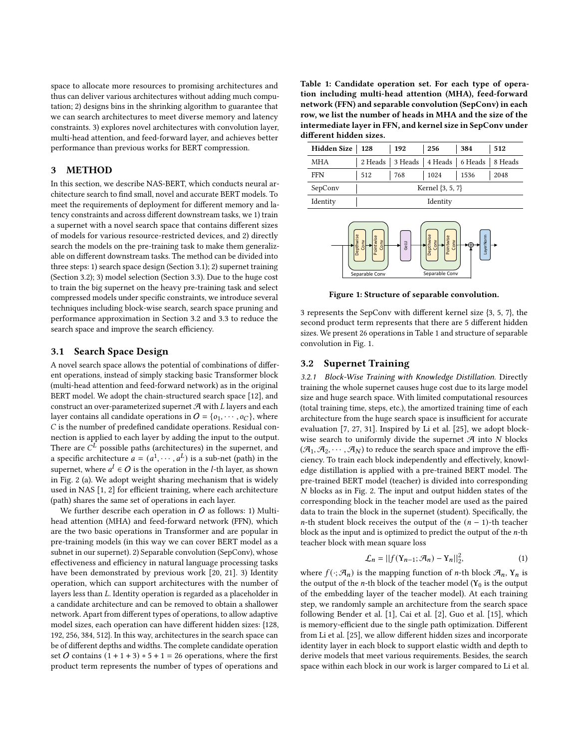space to allocate more resources to promising architectures and thus can deliver various architectures without adding much computation; 2) designs bins in the shrinking algorithm to guarantee that we can search architectures to meet diverse memory and latency constraints. 3) explores novel architectures with convolution layer, multi-head attention, and feed-forward layer, and achieves better performance than previous works for BERT compression.

# 3 METHOD

In this section, we describe NAS-BERT, which conducts neural architecture search to find small, novel and accurate BERT models. To meet the requirements of deployment for different memory and latency constraints and across different downstream tasks, we 1) train a supernet with a novel search space that contains different sizes of models for various resource-restricted devices, and 2) directly search the models on the pre-training task to make them generalizable on different downstream tasks. The method can be divided into three steps: 1) search space design (Section [3.1\)](#page-2-0); 2) supernet training (Section [3.2\)](#page-2-1); 3) model selection (Section [3.3\)](#page-3-0). Due to the huge cost to train the big supernet on the heavy pre-training task and select compressed models under specific constraints, we introduce several techniques including block-wise search, search space pruning and performance approximation in Section [3.2](#page-2-1) and [3.3](#page-3-0) to reduce the search space and improve the search efficiency.

# <span id="page-2-0"></span>3.1 Search Space Design

A novel search space allows the potential of combinations of different operations, instead of simply stacking basic Transformer block (multi-head attention and feed-forward network) as in the original BERT model. We adopt the chain-structured search space [\[12\]](#page-8-29), and construct an over-parameterized supernet  $\mathcal A$  with  $L$  layers and each layer contains all candidate operations in  $O = \{o_1, \dots, o_C\}$ , where  $C$  is the number of predefined candidate operations. Residual connection is applied to each layer by adding the input to the output. There are  $C^{\hat{L}}$  possible paths (architectures) in the supernet, and a specific architecture  $a = (a^1, \dots, a^L)$  is a sub-net (path) in the supernet, where  $a^l \in O$  is the operation in the *l*-th layer, as shown in Fig. [2](#page-3-1) (a). We adopt weight sharing mechanism that is widely used in NAS [\[1,](#page-7-1) [2\]](#page-7-3) for efficient training, where each architecture (path) shares the same set of operations in each layer.

We further describe each operation in  $O$  as follows: 1) Multihead attention (MHA) and feed-forward network (FFN), which are the two basic operations in Transformer and are popular in pre-training models (in this way we can cover BERT model as a subnet in our supernet). 2) Separable convolution (SepConv), whose effectiveness and efficiency in natural language processing tasks have been demonstrated by previous work [\[20,](#page-8-15) [21\]](#page-8-30). 3) Identity operation, which can support architectures with the number of layers less than  $L$ . Identity operation is regarded as a placeholder in a candidate architecture and can be removed to obtain a shallower network. Apart from different types of operations, to allow adaptive model sizes, each operation can have different hidden sizes: {128, 192, 256, 384, 512}. In this way, architectures in the search space can be of different depths and widths. The complete candidate operation set O contains  $(1 + 1 + 3) * 5 + 1 = 26$  operations, where the first product term represents the number of types of operations and

<span id="page-2-2"></span>Table 1: Candidate operation set. For each type of operation including multi-head attention (MHA), feed-forward network (FFN) and separable convolution (SepConv) in each row, we list the number of heads in MHA and the size of the intermediate layer in FFN, and kernel size in SepConv under different hidden sizes.

| Hidden Size | 128 | 192                                             | 256              | 384  | 512  |
|-------------|-----|-------------------------------------------------|------------------|------|------|
| MHA         |     | 2 Heads   3 Heads   4 Heads   6 Heads   8 Heads |                  |      |      |
| <b>FFN</b>  | 512 | 768                                             | 1024             | 1536 | 2048 |
| SepConv     |     |                                                 | Kernel {3, 5, 7} |      |      |
| Identity    |     |                                                 | Identity         |      |      |

<span id="page-2-3"></span>

Figure 1: Structure of separable convolution.

3 represents the SepConv with different kernel size {3, 5, 7}, the second product term represents that there are 5 different hidden sizes. We present 26 operations in Table [1](#page-2-2) and structure of separable convolution in Fig. [1.](#page-2-3)

#### <span id="page-2-1"></span>3.2 Supernet Training

3.2.1 Block-Wise Training with Knowledge Distillation. Directly training the whole supernet causes huge cost due to its large model size and huge search space. With limited computational resources (total training time, steps, etc.), the amortized training time of each architecture from the huge search space is insufficient for accurate evaluation [\[7,](#page-7-4) [27,](#page-8-31) [31\]](#page-8-32). Inspired by Li et al. [\[25\]](#page-8-17), we adopt blockwise search to uniformly divide the supernet  $\mathcal A$  into  $N$  blocks  $(\mathcal{A}_1, \mathcal{A}_2, \cdots, \mathcal{A}_N)$  to reduce the search space and improve the efficiency. To train each block independently and effectively, knowledge distillation is applied with a pre-trained BERT model. The pre-trained BERT model (teacher) is divided into corresponding  $N$  blocks as in Fig. [2.](#page-3-1) The input and output hidden states of the corresponding block in the teacher model are used as the paired data to train the block in the supernet (student). Specifically, the *n*-th student block receives the output of the  $(n - 1)$ -th teacher block as the input and is optimized to predict the output of the  $n$ -th teacher block with mean square loss

$$
\mathcal{L}_n = ||f(Y_{n-1}; \mathcal{A}_n) - Y_n||_2^2, \tag{1}
$$

where  $f(\cdot; \mathcal{A}_n)$  is the mapping function of *n*-th block  $\mathcal{A}_n$ , Y<sub>n</sub> is the output of the *n*-th block of the teacher model ( $Y_0$  is the output of the embedding layer of the teacher model). At each training step, we randomly sample an architecture from the search space following Bender et al. [\[1\]](#page-7-1), Cai et al. [\[2\]](#page-7-3), Guo et al. [\[15\]](#page-8-28), which is memory-efficient due to the single path optimization. Different from Li et al. [\[25\]](#page-8-17), we allow different hidden sizes and incorporate identity layer in each block to support elastic width and depth to derive models that meet various requirements. Besides, the search space within each block in our work is larger compared to Li et al.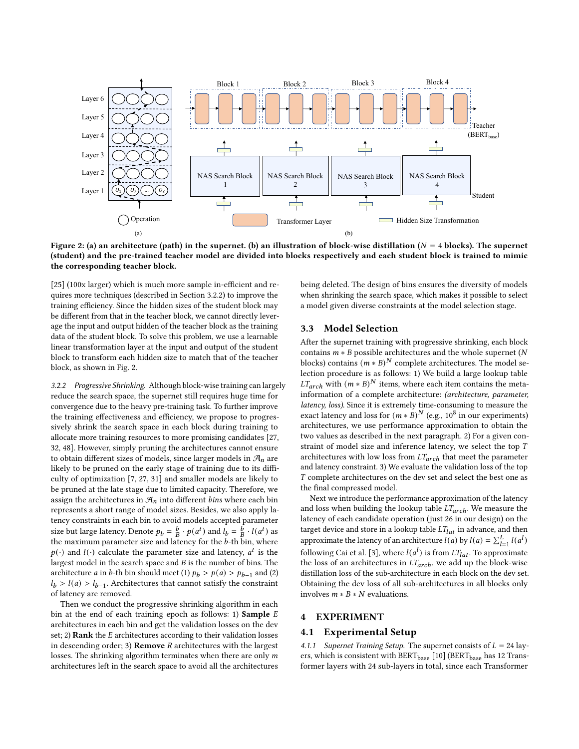<span id="page-3-1"></span>

Figure 2: (a) an architecture (path) in the supernet. (b) an illustration of block-wise distillation ( $N = 4$  blocks). The supernet (student) and the pre-trained teacher model are divided into blocks respectively and each student block is trained to mimic the corresponding teacher block.

[\[25\]](#page-8-17) (100x larger) which is much more sample in-efficient and requires more techniques (described in Section [3.2.2\)](#page-3-2) to improve the training efficiency. Since the hidden sizes of the student block may be different from that in the teacher block, we cannot directly leverage the input and output hidden of the teacher block as the training data of the student block. To solve this problem, we use a learnable linear transformation layer at the input and output of the student block to transform each hidden size to match that of the teacher block, as shown in Fig. [2.](#page-3-1)

<span id="page-3-2"></span>3.2.2 Progressive Shrinking. Although block-wise training can largely reduce the search space, the supernet still requires huge time for convergence due to the heavy pre-training task. To further improve the training effectiveness and efficiency, we propose to progressively shrink the search space in each block during training to allocate more training resources to more promising candidates [\[27,](#page-8-31) [32,](#page-8-33) [48\]](#page-8-34). However, simply pruning the architectures cannot ensure to obtain different sizes of models, since larger models in  $\mathcal{A}_n$  are likely to be pruned on the early stage of training due to its difficulty of optimization [\[7,](#page-7-4) [27,](#page-8-31) [31\]](#page-8-32) and smaller models are likely to be pruned at the late stage due to limited capacity. Therefore, we assign the architectures in  $\mathcal{A}_n$  into different bins where each bin represents a short range of model sizes. Besides, we also apply latency constraints in each bin to avoid models accepted parameter size but large latency. Denote  $p_b = \frac{b}{B} \cdot p(a^t)$  and  $l_b = \frac{b}{B} \cdot l(a^t)$  as the maximum parameter size and latency for the  $b$ -th bin, where  $p(\cdot)$  and  $l(\cdot)$  calculate the parameter size and latency,  $a^t$  is the largest model in the search space and  $B$  is the number of bins. The architecture *a* in *b*-th bin should meet (1)  $p_b > p(a) > p_{b-1}$  and (2)  $l_b > l(a) > l_{b-1}$ . Architectures that cannot satisfy the constraint of latency are removed.

Then we conduct the progressive shrinking algorithm in each bin at the end of each training epoch as follows: 1) Sample  $E$ architectures in each bin and get the validation losses on the dev set; 2) Rank the  $E$  architectures according to their validation losses in descending order; 3) **Remove**  $R$  architectures with the largest losses. The shrinking algorithm terminates when there are only  $m$ architectures left in the search space to avoid all the architectures being deleted. The design of bins ensures the diversity of models when shrinking the search space, which makes it possible to select a model given diverse constraints at the model selection stage.

# <span id="page-3-0"></span>3.3 Model Selection

After the supernet training with progressive shrinking, each block contains  $m * B$  possible architectures and the whole supernet (N blocks) contains  $(m * B)^N$  complete architectures. The model selection procedure is as follows: 1) We build a large lookup table  $LT_{arch}$  with  $(m * B)^N$  items, where each item contains the metainformation of a complete architecture: (architecture, parameter, latency, loss). Since it is extremely time-consuming to measure the exact latency and loss for  $(m * B)^N$  (e.g., 10<sup>8</sup> in our experiments) architectures, we use performance approximation to obtain the two values as described in the next paragraph. 2) For a given constraint of model size and inference latency, we select the top  $T$ architectures with low loss from  $LT_{arch}$  that meet the parameter and latency constraint. 3) We evaluate the validation loss of the top  $T$  complete architectures on the dev set and select the best one as the final compressed model.

Next we introduce the performance approximation of the latency and loss when building the lookup table  $LT_{arch}$ . We measure the latency of each candidate operation (just 26 in our design) on the target device and store in a lookup table  $\mathit{LT}_{lat}$  in advance, and then approximate the latency of an architecture  $l(a)$  by  $l(a) = \sum_{l=1}^{L} l(a^l)$ following Cai et al. [\[3\]](#page-7-2), where  $l(a^l)$  is from  $LT_{lat}$ . To approximate the loss of an architectures in  $LT_{arch}$ , we add up the block-wise distillation loss of the sub-architecture in each block on the dev set. Obtaining the dev loss of all sub-architectures in all blocks only involves  $m * B * N$  evaluations.

# 4 EXPERIMENT

# <span id="page-3-3"></span>4.1 Experimental Setup

4.1.1 Supernet Training Setup. The supernet consists of  $L = 24$  layers, which is consistent with  $BERT_{base}$  [\[10\]](#page-8-1) (BERT<sub>base</sub> has 12 Transformer layers with 24 sub-layers in total, since each Transformer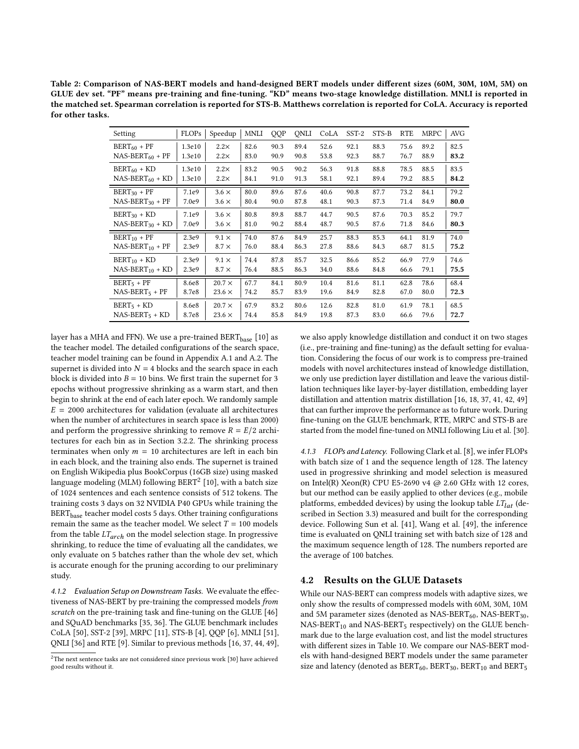<span id="page-4-1"></span>Table 2: Comparison of NAS-BERT models and hand-designed BERT models under different sizes (60M, 30M, 10M, 5M) on GLUE dev set. "PF" means pre-training and fine-tuning. "KD" means two-stage knowledge distillation. MNLI is reported in the matched set. Spearman correlation is reported for STS-B. Matthews correlation is reported for CoLA. Accuracy is reported for other tasks.

| Setting              | <b>FLOPs</b> | Speedup       | <b>MNLI</b> | QQP  | ONLI | CoLA | SST-2 | STS-B | <b>RTE</b> | MRPC | <b>AVG</b> |
|----------------------|--------------|---------------|-------------|------|------|------|-------|-------|------------|------|------------|
| $BERT_{60}$ + PF     | 1.3e10       | $2.2\times$   | 82.6        | 90.3 | 89.4 | 52.6 | 92.1  | 88.3  | 75.6       | 89.2 | 82.5       |
| $NAS-BERT_{60} + PF$ | 1.3e10       | $2.2\times$   | 83.0        | 90.9 | 90.8 | 53.8 | 92.3  | 88.7  | 76.7       | 88.9 | 83.2       |
| $BERT_{60}$ + KD     | 1.3e10       | $2.2\times$   | 83.2        | 90.5 | 90.2 | 56.3 | 91.8  | 88.8  | 78.5       | 88.5 | 83.5       |
| $NAS-BERT_{60} + KD$ | 1.3e10       | $2.2\times$   | 84.1        | 91.0 | 91.3 | 58.1 | 92.1  | 89.4  | 79.2       | 88.5 | 84.2       |
| $BERT_{30} + PF$     | 7.1e9        | $3.6 \times$  | 80.0        | 89.6 | 87.6 | 40.6 | 90.8  | 87.7  | 73.2       | 84.1 | 79.2       |
| $NAS-BERT_{30} + PF$ | 7.0e9        | $3.6 \times$  | 80.4        | 90.0 | 87.8 | 48.1 | 90.3  | 87.3  | 71.4       | 84.9 | 80.0       |
| $BERT_{30}$ + KD     | 7.1e9        | $3.6 \times$  | 80.8        | 89.8 | 88.7 | 44.7 | 90.5  | 87.6  | 70.3       | 85.2 | 79.7       |
| $NAS-BERT_{30} + KD$ | 7.0e9        | $3.6 \times$  | 81.0        | 90.2 | 88.4 | 48.7 | 90.5  | 87.6  | 71.8       | 84.6 | 80.3       |
| $BERT_{10} + PF$     | 2.3e9        | $9.1 \times$  | 74.0        | 87.6 | 84.9 | 25.7 | 88.3  | 85.3  | 64.1       | 81.9 | 74.0       |
| $NAS-BERT_{10} + PF$ | 2.3e9        | $8.7 \times$  | 76.0        | 88.4 | 86.3 | 27.8 | 88.6  | 84.3  | 68.7       | 81.5 | 75.2       |
| $BERT_{10} + KD$     | 2.3e9        | $9.1 \times$  | 74.4        | 87.8 | 85.7 | 32.5 | 86.6  | 85.2  | 66.9       | 77.9 | 74.6       |
| $NAS-BERT_{10} + KD$ | 2.3e9        | $8.7 \times$  | 76.4        | 88.5 | 86.3 | 34.0 | 88.6  | 84.8  | 66.6       | 79.1 | 75.5       |
| $BERT5 + PF$         | 8.6e8        | $20.7 \times$ | 67.7        | 84.1 | 80.9 | 10.4 | 81.6  | 81.1  | 62.8       | 78.6 | 68.4       |
| $NAS-BERT5 + PF$     | 8.7e8        | $23.6 \times$ | 74.2        | 85.7 | 83.9 | 19.6 | 84.9  | 82.8  | 67.0       | 80.0 | 72.3       |
| $BERT5 + KD$         | 8.6e8        | $20.7 \times$ | 67.9        | 83.2 | 80.6 | 12.6 | 82.8  | 81.0  | 61.9       | 78.1 | 68.5       |
| $NAS-BERT5 + KD$     | 8.7e8        | $23.6 \times$ | 74.4        | 85.8 | 84.9 | 19.8 | 87.3  | 83.0  | 66.6       | 79.6 | 72.7       |

layer has a MHA and FFN). We use a pre-trained  $\text{BERT}_{\text{base}}$  [\[10\]](#page-8-1) as the teacher model. The detailed configurations of the search space, teacher model training can be found in Appendix [A.1](#page-9-0) and [A.2.](#page-9-1) The supernet is divided into  $N = 4$  blocks and the search space in each block is divided into  $B = 10$  bins. We first train the supernet for 3 epochs without progressive shrinking as a warm start, and then begin to shrink at the end of each later epoch. We randomly sample  $E = 2000$  architectures for validation (evaluate all architectures when the number of architectures in search space is less than 2000) and perform the progressive shrinking to remove  $R = E/2$  architectures for each bin as in Section [3.2.2.](#page-3-2) The shrinking process terminates when only  $m = 10$  architectures are left in each bin in each block, and the training also ends. The supernet is trained on English Wikipedia plus BookCorpus (16GB size) using masked language modeling (MLM) following  $\mathrm{BERT}^2$  $\mathrm{BERT}^2$  [\[10\]](#page-8-1), with a batch size of 1024 sentences and each sentence consists of 512 tokens. The training costs 3 days on 32 NVIDIA P40 GPUs while training the BERT<sub>base</sub> teacher model costs 5 days. Other training configurations remain the same as the teacher model. We select  $T = 100$  models from the table  $LT_{arch}$  on the model selection stage. In progressive shrinking, to reduce the time of evaluating all the candidates, we only evaluate on 5 batches rather than the whole dev set, which is accurate enough for the pruning according to our preliminary study.

4.1.2 Evaluation Setup on Downstream Tasks. We evaluate the effectiveness of NAS-BERT by pre-training the compressed models from scratch on the pre-training task and fine-tuning on the GLUE [\[46\]](#page-8-18) and SQuAD benchmarks [\[35,](#page-8-19) [36\]](#page-8-20). The GLUE benchmark includes CoLA [\[50\]](#page-8-35), SST-2 [\[39\]](#page-8-36), MRPC [\[11\]](#page-8-37), STS-B [\[4\]](#page-7-5), QQP [\[6\]](#page-7-6), MNLI [\[51\]](#page-8-38), QNLI [\[36\]](#page-8-20) and RTE [\[9\]](#page-7-7). Similar to previous methods [\[16,](#page-8-9) [37,](#page-8-11) [44,](#page-8-39) [49\]](#page-8-40), we also apply knowledge distillation and conduct it on two stages (i.e., pre-training and fine-tuning) as the default setting for evaluation. Considering the focus of our work is to compress pre-trained models with novel architectures instead of knowledge distillation, we only use prediction layer distillation and leave the various distillation techniques like layer-by-layer distillation, embedding layer distillation and attention matrix distillation [\[16,](#page-8-9) [18,](#page-8-10) [37,](#page-8-11) [41,](#page-8-13) [42,](#page-8-41) [49\]](#page-8-40) that can further improve the performance as to future work. During fine-tuning on the GLUE benchmark, RTE, MRPC and STS-B are started from the model fine-tuned on MNLI following Liu et al. [\[30\]](#page-8-3).

4.1.3 FLOPs and Latency. Following Clark et al. [\[8\]](#page-7-8), we infer FLOPs with batch size of 1 and the sequence length of 128. The latency used in progressive shrinking and model selection is measured on Intel(R) Xeon(R) CPU E5-2690 v4 @ 2.60 GHz with 12 cores, but our method can be easily applied to other devices (e.g., mobile platforms, embedded devices) by using the lookup table  $LT_{lat}$  (described in Section [3.3\)](#page-3-0) measured and built for the corresponding device. Following Sun et al. [\[41\]](#page-8-13), Wang et al. [\[49\]](#page-8-40), the inference time is evaluated on QNLI training set with batch size of 128 and the maximum sequence length of 128. The numbers reported are the average of 100 batches.

#### 4.2 Results on the GLUE Datasets

While our NAS-BERT can compress models with adaptive sizes, we only show the results of compressed models with 60M, 30M, 10M and 5M parameter sizes (denoted as NAS-BERT $_{60}$ , NAS-BERT $_{30}$ ,  $NAS-BERT_{10}$  and  $NAS-BERT_{5}$  respectively) on the GLUE benchmark due to the large evaluation cost, and list the model structures with different sizes in Table [10.](#page-10-1) We compare our NAS-BERT models with hand-designed BERT models under the same parameter size and latency (denoted as  $BERT_{60}$ ,  $BERT_{30}$ ,  $BERT_{10}$  and  $BERT_{5}$ 

<span id="page-4-0"></span><sup>&</sup>lt;sup>2</sup>The next sentence tasks are not considered since previous work [\[30\]](#page-8-3) have achieved good results without it.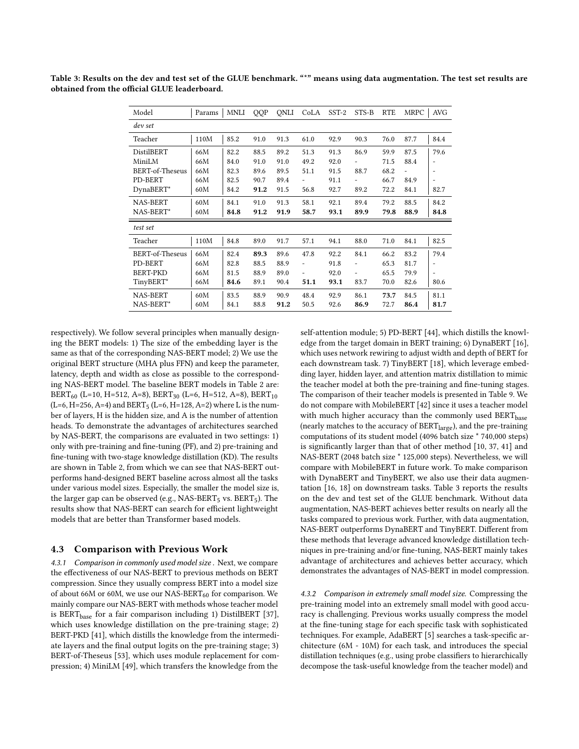| Model                  | Params | MNLI | QQP  | ONLI | CoLA                         | SST-2 | STS-B                        | <b>RTE</b> | <b>MRPC</b> | <b>AVG</b> |
|------------------------|--------|------|------|------|------------------------------|-------|------------------------------|------------|-------------|------------|
| dev set                |        |      |      |      |                              |       |                              |            |             |            |
| Teacher                | 110M   | 85.2 | 91.0 | 91.3 | 61.0                         | 92.9  | 90.3                         | 76.0       | 87.7        | 84.4       |
| <b>DistilBERT</b>      | 66M    | 82.2 | 88.5 | 89.2 | 51.3                         | 91.3  | 86.9                         | 59.9       | 87.5        | 79.6       |
| MiniLM                 | 66M    | 84.0 | 91.0 | 91.0 | 49.2                         | 92.0  |                              | 71.5       | 88.4        |            |
| <b>BERT-of-Theseus</b> | 66M    | 82.3 | 89.6 | 89.5 | 51.1                         | 91.5  | 88.7                         | 68.2       |             |            |
| PD-BERT                | 66M    | 82.5 | 90.7 | 89.4 |                              | 91.1  |                              | 66.7       | 84.9        |            |
| DynaBERT*              | 60M    | 84.2 | 91.2 | 91.5 | 56.8                         | 92.7  | 89.2                         | 72.2       | 84.1        | 82.7       |
| <b>NAS-BERT</b>        | 60M    | 84.1 | 91.0 | 91.3 | 58.1                         | 92.1  | 89.4                         | 79.2       | 88.5        | 84.2       |
| NAS-BERT*              | 60M    | 84.8 | 91.2 | 91.9 | 58.7                         | 93.1  | 89.9                         | 79.8       | 88.9        | 84.8       |
| test set               |        |      |      |      |                              |       |                              |            |             |            |
| Teacher                | 110M   | 84.8 | 89.0 | 91.7 | 57.1                         | 94.1  | 88.0                         | 71.0       | 84.1        | 82.5       |
| <b>BERT-of-Theseus</b> | 66M    | 82.4 | 89.3 | 89.6 | 47.8                         | 92.2  | 84.1                         | 66.2       | 83.2        | 79.4       |
| PD-BERT                | 66M    | 82.8 | 88.5 | 88.9 | $\overline{\phantom{a}}$     | 91.8  | $\qquad \qquad \blacksquare$ | 65.3       | 81.7        |            |
| <b>BERT-PKD</b>        | 66M    | 81.5 | 88.9 | 89.0 | $\qquad \qquad \blacksquare$ | 92.0  | $\overline{\phantom{a}}$     | 65.5       | 79.9        |            |
| TinyBERT*              | 66M    | 84.6 | 89.1 | 90.4 | 51.1                         | 93.1  | 83.7                         | 70.0       | 82.6        | 80.6       |
| <b>NAS-BERT</b>        | 60M    | 83.5 | 88.9 | 90.9 | 48.4                         | 92.9  | 86.1                         | 73.7       | 84.5        | 81.1       |
| NAS-BERT*              | 60M    | 84.1 | 88.8 | 91.2 | 50.5                         | 92.6  | 86.9                         | 72.7       | 86.4        | 81.7       |

<span id="page-5-0"></span>Table 3: Results on the dev and test set of the GLUE benchmark. "\*" means using data augmentation. The test set results are obtained from the official GLUE leaderboard.

respectively). We follow several principles when manually designing the BERT models: 1) The size of the embedding layer is the same as that of the corresponding NAS-BERT model; 2) We use the original BERT structure (MHA plus FFN) and keep the parameter, latency, depth and width as close as possible to the corresponding NAS-BERT model. The baseline BERT models in Table [2](#page-4-1) are: BERT<sub>60</sub> (L=10, H=512, A=8), BERT<sub>30</sub> (L=6, H=512, A=8), BERT<sub>10</sub> (L=6, H=256, A=4) and BERT<sub>5</sub> (L=6, H=128, A=2) where L is the number of layers, H is the hidden size, and A is the number of attention heads. To demonstrate the advantages of architectures searched by NAS-BERT, the comparisons are evaluated in two settings: 1) only with pre-training and fine-tuning (PF), and 2) pre-training and fine-tuning with two-stage knowledge distillation (KD). The results are shown in Table [2,](#page-4-1) from which we can see that NAS-BERT outperforms hand-designed BERT baseline across almost all the tasks under various model sizes. Especially, the smaller the model size is, the larger gap can be observed (e.g., NAS-BERT<sub>5</sub> vs. BERT<sub>5</sub>). The results show that NAS-BERT can search for efficient lightweight models that are better than Transformer based models.

#### 4.3 Comparison with Previous Work

4.3.1 Comparison in commonly used model size . Next, we compare the effectiveness of our NAS-BERT to previous methods on BERT compression. Since they usually compress BERT into a model size of about 66M or 60M, we use our NAS-BERT $_{60}$  for comparison. We mainly compare our NAS-BERT with methods whose teacher model is BERT<sub>base</sub> for a fair comparison including 1) DistilBERT [\[37\]](#page-8-11), which uses knowledge distillation on the pre-training stage; 2) BERT-PKD [\[41\]](#page-8-13), which distills the knowledge from the intermediate layers and the final output logits on the pre-training stage; 3) BERT-of-Theseus [\[53\]](#page-8-42), which uses module replacement for compression; 4) MiniLM [\[49\]](#page-8-40), which transfers the knowledge from the

self-attention module; 5) PD-BERT [\[44\]](#page-8-39), which distills the knowledge from the target domain in BERT training; 6) DynaBERT [\[16\]](#page-8-9), which uses network rewiring to adjust width and depth of BERT for each downstream task. 7) TinyBERT [\[18\]](#page-8-10), which leverage embedding layer, hidden layer, and attention matrix distillation to mimic the teacher model at both the pre-training and fine-tuning stages. The comparison of their teacher models is presented in Table [9.](#page-10-2) We do not compare with MobileBERT [\[42\]](#page-8-41) since it uses a teacher model with much higher accuracy than the commonly used BERT<sub>base</sub> (nearly matches to the accuracy of  $BERT_{large}$ ), and the pre-training computations of its student model (4096 batch size \* 740,000 steps) is significantly larger than that of other method [\[10,](#page-8-1) [37,](#page-8-11) [41\]](#page-8-13) and NAS-BERT (2048 batch size \* 125,000 steps). Nevertheless, we will compare with MobileBERT in future work. To make comparison with DynaBERT and TinyBERT, we also use their data augmentation [\[16,](#page-8-9) [18\]](#page-8-10) on downstream tasks. Table [3](#page-5-0) reports the results on the dev and test set of the GLUE benchmark. Without data augmentation, NAS-BERT achieves better results on nearly all the tasks compared to previous work. Further, with data augmentation, NAS-BERT outperforms DynaBERT and TinyBERT. Different from these methods that leverage advanced knowledge distillation techniques in pre-training and/or fine-tuning, NAS-BERT mainly takes advantage of architectures and achieves better accuracy, which demonstrates the advantages of NAS-BERT in model compression.

4.3.2 Comparison in extremely small model size. Compressing the pre-training model into an extremely small model with good accuracy is challenging. Previous works usually compress the model at the fine-tuning stage for each specific task with sophisticated techniques. For example, AdaBERT [\[5\]](#page-7-0) searches a task-specific architecture (6M - 10M) for each task, and introduces the special distillation techniques (e.g., using probe classifiers to hierarchically decompose the task-useful knowledge from the teacher model) and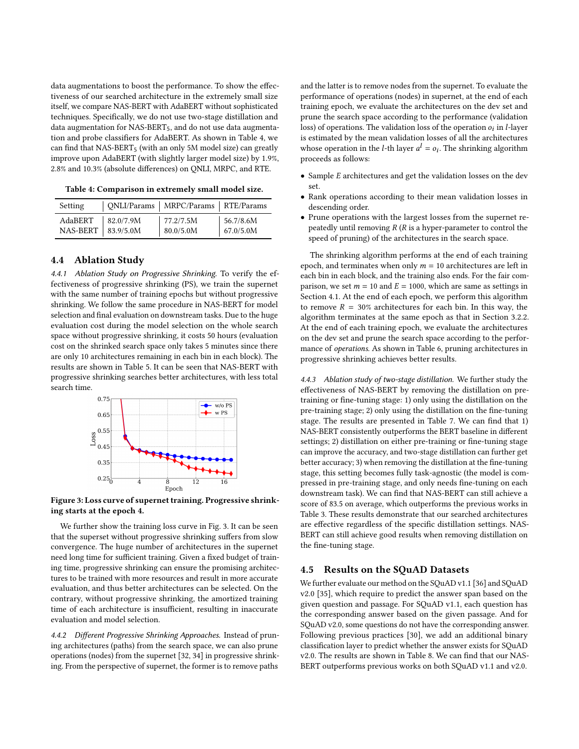data augmentations to boost the performance. To show the effectiveness of our searched architecture in the extremely small size itself, we compare NAS-BERT with AdaBERT without sophisticated techniques. Specifically, we do not use two-stage distillation and data augmentation for NAS-BERT<sub>5</sub>, and do not use data augmentation and probe classifiers for AdaBERT. As shown in Table [4,](#page-6-1) we can find that  $NAS-BERT_5$  (with an only 5M model size) can greatly improve upon AdaBERT (with slightly larger model size) by 1.9%, 2.8% and 10.3% (absolute differences) on QNLI, MRPC, and RTE.

<span id="page-6-1"></span>Table 4: Comparison in extremely small model size.

| Setting  |           | QNLI/Params   MRPC/Params   RTE/Params |           |
|----------|-----------|----------------------------------------|-----------|
| AdaBERT  | 82.0/7.9M | 177.2/7.5M                             | 56.7/8.6M |
| NAS-BERT | 83.9/5.0M | 80.0/5.0M                              | 67.0/5.0M |

# 4.4 Ablation Study

4.4.1 Ablation Study on Progressive Shrinking. To verify the effectiveness of progressive shrinking (PS), we train the supernet with the same number of training epochs but without progressive shrinking. We follow the same procedure in NAS-BERT for model selection and final evaluation on downstream tasks. Due to the huge evaluation cost during the model selection on the whole search space without progressive shrinking, it costs 50 hours (evaluation cost on the shrinked search space only takes 5 minutes since there are only 10 architectures remaining in each bin in each block). The results are shown in Table [5.](#page-7-9) It can be seen that NAS-BERT with progressive shrinking searches better architectures, with less total search time.

<span id="page-6-2"></span>

Figure 3: Loss curve of supernet training. Progressive shrinking starts at the epoch 4.

We further show the training loss curve in Fig. [3.](#page-6-2) It can be seen that the superset without progressive shrinking suffers from slow convergence. The huge number of architectures in the supernet need long time for sufficient training. Given a fixed budget of training time, progressive shrinking can ensure the promising architectures to be trained with more resources and result in more accurate evaluation, and thus better architectures can be selected. On the contrary, without progressive shrinking, the amortized training time of each architecture is insufficient, resulting in inaccurate evaluation and model selection.

4.4.2 Different Progressive Shrinking Approaches. Instead of pruning architectures (paths) from the search space, we can also prune operations (nodes) from the supernet [\[32,](#page-8-33) [34\]](#page-8-43) in progressive shrinking. From the perspective of supernet, the former is to remove paths

and the latter is to remove nodes from the supernet. To evaluate the performance of operations (nodes) in supernet, at the end of each training epoch, we evaluate the architectures on the dev set and prune the search space according to the performance (validation loss) of operations. The validation loss of the operation  $o_i$  in *l*-layer is estimated by the mean validation losses of all the architectures whose operation in the *l*-th layer  $a^l = o_i$ . The shrinking algorithm proceeds as follows:

- Sample  $E$  architectures and get the validation losses on the dev set.
- Rank operations according to their mean validation losses in descending order.
- Prune operations with the largest losses from the supernet repeatedly until removing  $R(R)$  is a hyper-parameter to control the speed of pruning) of the architectures in the search space.

The shrinking algorithm performs at the end of each training epoch, and terminates when only  $m = 10$  architectures are left in each bin in each block, and the training also ends. For the fair comparison, we set  $m = 10$  and  $E = 1000$ , which are same as settings in Section [4.1.](#page-3-3) At the end of each epoch, we perform this algorithm to remove  $R = 30\%$  architectures for each bin. In this way, the algorithm terminates at the same epoch as that in Section [3.2.2.](#page-3-2) At the end of each training epoch, we evaluate the architectures on the dev set and prune the search space according to the performance of operations. As shown in Table [6,](#page-7-10) pruning architectures in progressive shrinking achieves better results.

<span id="page-6-0"></span>4.4.3 Ablation study of two-stage distillation. We further study the effectiveness of NAS-BERT by removing the distillation on pretraining or fine-tuning stage: 1) only using the distillation on the pre-training stage; 2) only using the distillation on the fine-tuning stage. The results are presented in Table [7.](#page-7-11) We can find that 1) NAS-BERT consistently outperforms the BERT baseline in different settings; 2) distillation on either pre-training or fine-tuning stage can improve the accuracy, and two-stage distillation can further get better accuracy; 3) when removing the distillation at the fine-tuning stage, this setting becomes fully task-agnostic (the model is compressed in pre-training stage, and only needs fine-tuning on each downstream task). We can find that NAS-BERT can still achieve a score of 83.5 on average, which outperforms the previous works in Table [3.](#page-5-0) These results demonstrate that our searched architectures are effective regardless of the specific distillation settings. NAS-BERT can still achieve good results when removing distillation on the fine-tuning stage.

## 4.5 Results on the SQuAD Datasets

We further evaluate our method on the SQuAD v1.1 [\[36\]](#page-8-20) and SQuAD v2.0 [\[35\]](#page-8-19), which require to predict the answer span based on the given question and passage. For SQuAD v1.1, each question has the corresponding answer based on the given passage. And for SQuAD v2.0, some questions do not have the corresponding answer. Following previous practices [\[30\]](#page-8-3), we add an additional binary classification layer to predict whether the answer exists for SQuAD v2.0. The results are shown in Table [8.](#page-7-12) We can find that our NAS-BERT outperforms previous works on both SQuAD v1.1 and v2.0.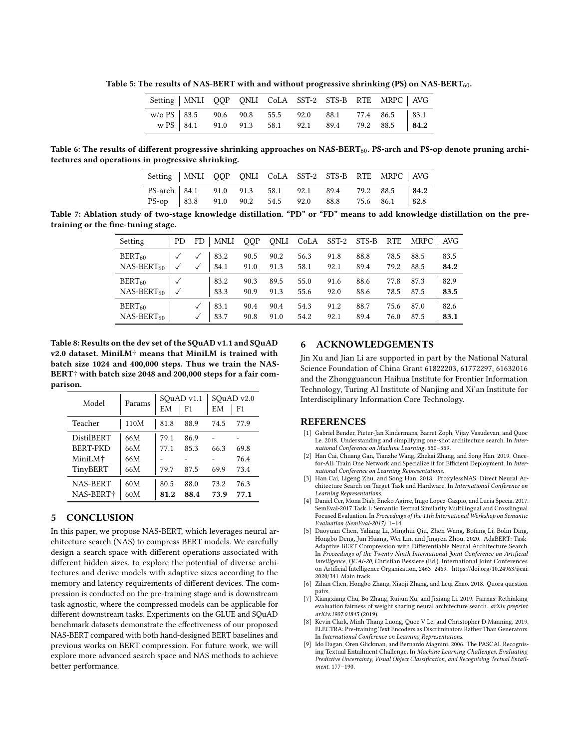<span id="page-7-9"></span>Table 5: The results of NAS-BERT with and without progressive shrinking (PS) on NAS-BERT<sub>60</sub>.

| Setting   MNLI QQP QNLI CoLA SST-2 STS-B RTE MRPC   AVG                                                      |  |  |  |  |  |
|--------------------------------------------------------------------------------------------------------------|--|--|--|--|--|
| $W/O PS$ 83.5 90.6 90.8 55.5 92.0 88.1 77.4 86.5 83.1<br>$W PS$ 84.1 91.0 91.3 58.1 92.1 89.4 79.2 88.5 84.2 |  |  |  |  |  |

<span id="page-7-10"></span>Table 6: The results of different progressive shrinking approaches on NAS-BERT $_{60}$ . PS-arch and PS-op denote pruning architectures and operations in progressive shrinking.

| Setting   MNLI QQP QNLI CoLA SST-2 STS-B RTE MRPC   AVG |  |  |  |  |  |
|---------------------------------------------------------|--|--|--|--|--|
| PS-arch 84.1 91.0 91.3 58.1 92.1 89.4 79.2 88.5 84.2    |  |  |  |  |  |
| PS-op 83.8 91.0 90.2 54.5 92.0 88.8 75.6 86.1 82.8      |  |  |  |  |  |

<span id="page-7-11"></span>Table 7: Ablation study of two-stage knowledge distillation. "PD" or "FD" means to add knowledge distillation on the pretraining or the fine-tuning stage.

| Setting         | PD. | <b>MNLI</b><br>FD | <b>OOP</b> | ONLI | CoLA | $SST-2$ | STS-B | <b>RTE</b> | <b>MRPC</b> | AVG. |
|-----------------|-----|-------------------|------------|------|------|---------|-------|------------|-------------|------|
| $BERT_{60}$     |     | 83.2              | 90.5       | 90.2 | 56.3 | 91.8    | 88.8  | 78.5       | 88.5        | 83.5 |
| $NAS-BERT_{60}$ |     | 84.1              | 91.0       | 91.3 | 58.1 | 92.1    | 89.4  | 79.2       | 88.5        | 84.2 |
| $BERT_{60}$     |     | 83.2              | 90.3       | 89.5 | 55.0 | 91.6    | 88.6  | 77.8       | 87.3        | 82.9 |
| $NAS-BERT_{60}$ |     | 83.3              | 90.9       | 91.3 | 55.6 | 92.0    | 88.6  | 78.5       | 87.5        | 83.5 |
| $BERT_{60}$     |     | 83.1              | 90.4       | 90.4 | 54.3 | 91.2    | 88.7  | 75.6       | 87.0        | 82.6 |
| $NAS-BERT_{60}$ |     | 83.7              | 90.8       | 91.0 | 54.2 | 92.1    | 89.4  | 76.0       | 87.5        | 83.1 |

<span id="page-7-12"></span>Table 8: Results on the dev set of the SQuAD v1.1 and SQuAD v2.0 dataset. MiniLM† means that MiniLM is trained with batch size 1024 and 400,000 steps. Thus we train the NAS-BERT† with batch size 2048 and 200,000 steps for a fair comparison.

| Model                                    | Params     | SQuAD v1.1<br>EM | F <sub>1</sub> | SOuAD v2.0<br>EМ | F <sub>1</sub> |
|------------------------------------------|------------|------------------|----------------|------------------|----------------|
| Teacher                                  | 110M       | 81.8             | 88.9           | 74.5             | 77.9           |
| <b>DistilBERT</b>                        | 66M        | 79.1             | 86.9           |                  |                |
| <b>BERT-PKD</b>                          | 66M        | 77.1             | 85.3           | 66.3             | 69.8           |
| MiniLM <sup>+</sup>                      | 66M        |                  |                |                  | 76.4           |
| TinyBERT                                 | 66M        | 79.7             | 87.5           | 69.9             | 73.4           |
| <b>NAS-BERT</b><br>NAS-BERT <sup>+</sup> | 60M<br>60M | 80.5<br>81.2     | 88.0<br>88.4   | 73.2<br>73.9     | 76.3<br>77.1   |
|                                          |            |                  |                |                  |                |

# 5 CONCLUSION

In this paper, we propose NAS-BERT, which leverages neural architecture search (NAS) to compress BERT models. We carefully design a search space with different operations associated with different hidden sizes, to explore the potential of diverse architectures and derive models with adaptive sizes according to the memory and latency requirements of different devices. The compression is conducted on the pre-training stage and is downstream task agnostic, where the compressed models can be applicable for different downstream tasks. Experiments on the GLUE and SQuAD benchmark datasets demonstrate the effectiveness of our proposed NAS-BERT compared with both hand-designed BERT baselines and previous works on BERT compression. For future work, we will explore more advanced search space and NAS methods to achieve better performance.

# 6 ACKNOWLEDGEMENTS

Jin Xu and Jian Li are supported in part by the National Natural Science Foundation of China Grant 61822203, 61772297, 61632016 and the Zhongguancun Haihua Institute for Frontier Information Technology, Turing AI Institute of Nanjing and Xi'an Institute for Interdisciplinary Information Core Technology.

#### REFERENCES

- <span id="page-7-1"></span>[1] Gabriel Bender, Pieter-Jan Kindermans, Barret Zoph, Vijay Vasudevan, and Quoc Le. 2018. Understanding and simplifying one-shot architecture search. In International Conference on Machine Learning. 550–559.
- <span id="page-7-3"></span>[2] Han Cai, Chuang Gan, Tianzhe Wang, Zhekai Zhang, and Song Han. 2019. Oncefor-All: Train One Network and Specialize it for Efficient Deployment. In International Conference on Learning Representations.
- <span id="page-7-2"></span>[3] Han Cai, Ligeng Zhu, and Song Han. 2018. ProxylessNAS: Direct Neural Architecture Search on Target Task and Hardware. In International Conference on Learning Representations.
- <span id="page-7-5"></span>[4] Daniel Cer, Mona Diab, Eneko Agirre, Iñigo Lopez-Gazpio, and Lucia Specia. 2017. SemEval-2017 Task 1: Semantic Textual Similarity Multilingual and Crosslingual Focused Evaluation. In Proceedings of the 11th International Workshop on Semantic Evaluation (SemEval-2017). 1–14.
- <span id="page-7-0"></span>[5] Daoyuan Chen, Yaliang Li, Minghui Qiu, Zhen Wang, Bofang Li, Bolin Ding, Hongbo Deng, Jun Huang, Wei Lin, and Jingren Zhou. 2020. AdaBERT: Task-Adaptive BERT Compression with Differentiable Neural Architecture Search. In Proceedings of the Twenty-Ninth International Joint Conference on Artificial Intelligence, IJCAI-20, Christian Bessiere (Ed.). International Joint Conferences on Artificial Intelligence Organization, 2463–2469. [https://doi.org/10.24963/ijcai.](https://doi.org/10.24963/ijcai.2020/341) [2020/341](https://doi.org/10.24963/ijcai.2020/341) Main track.
- <span id="page-7-6"></span>[6] Zihan Chen, Hongbo Zhang, Xiaoji Zhang, and Leqi Zhao. 2018. Quora question pairs.
- <span id="page-7-4"></span>[7] Xiangxiang Chu, Bo Zhang, Ruijun Xu, and Jixiang Li. 2019. Fairnas: Rethinking evaluation fairness of weight sharing neural architecture search. arXiv preprint arXiv:1907.01845 (2019).
- <span id="page-7-8"></span>[8] Kevin Clark, Minh-Thang Luong, Quoc V Le, and Christopher D Manning. 2019. ELECTRA: Pre-training Text Encoders as Discriminators Rather Than Generators. In International Conference on Learning Representations.
- <span id="page-7-7"></span>Ido Dagan, Oren Glickman, and Bernardo Magnini. 2006. The PASCAL Recognising Textual Entailment Challenge. In Machine Learning Challenges. Evaluating Predictive Uncertainty, Visual Object Classification, and Recognising Tectual Entailment. 177–190.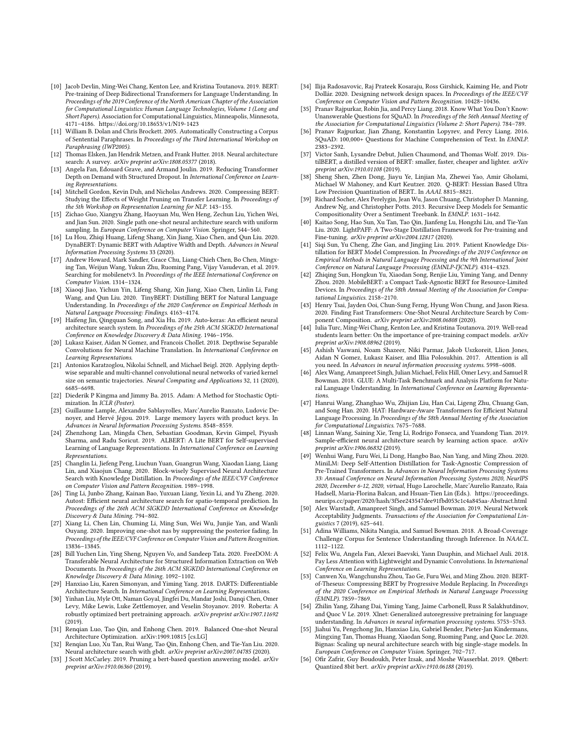- <span id="page-8-1"></span>[10] Jacob Devlin, Ming-Wei Chang, Kenton Lee, and Kristina Toutanova. 2019. BERT: Pre-training of Deep Bidirectional Transformers for Language Understanding. In Proceedings of the 2019 Conference of the North American Chapter of the Association for Computational Linguistics: Human Language Technologies, Volume 1 (Long and Short Papers). Association for Computational Linguistics, Minneapolis, Minnesota, 4171–4186.<https://doi.org/10.18653/v1/N19-1423>
- <span id="page-8-37"></span>[11] William B. Dolan and Chris Brockett. 2005. Automatically Constructing a Corpus of Sentential Paraphrases. In Proceedings of the Third International Workshop on Paraphrasing (IWP2005).
- <span id="page-8-29"></span>[12] Thomas Elsken, Jan Hendrik Metzen, and Frank Hutter. 2018. Neural architecture search: A survey. arXiv preprint arXiv:1808.05377 (2018).
- <span id="page-8-21"></span>[13] Angela Fan, Edouard Grave, and Armand Joulin. 2019. Reducing Transformer Depth on Demand with Structured Dropout. In International Conference on Learning Representations.
- <span id="page-8-4"></span>[14] Mitchell Gordon, Kevin Duh, and Nicholas Andrews. 2020. Compressing BERT: Studying the Effects of Weight Pruning on Transfer Learning. In Proceedings of the 5th Workshop on Representation Learning for NLP. 143–155.
- <span id="page-8-28"></span>[15] Zichao Guo, Xiangyu Zhang, Haoyuan Mu, Wen Heng, Zechun Liu, Yichen Wei, and Jian Sun. 2020. Single path one-shot neural architecture search with uniform sampling. In European Conference on Computer Vision. Springer, 544-560.
- <span id="page-8-9"></span>[16] Lu Hou, Zhiqi Huang, Lifeng Shang, Xin Jiang, Xiao Chen, and Qun Liu. 2020. DynaBERT: Dynamic BERT with Adaptive Width and Depth. Advances in Neural Information Processing Systems 33 (2020).
- <span id="page-8-22"></span>[17] Andrew Howard, Mark Sandler, Grace Chu, Liang-Chieh Chen, Bo Chen, Mingxing Tan, Weijun Wang, Yukun Zhu, Ruoming Pang, Vijay Vasudevan, et al. 2019. Searching for mobilenetv3. In Proceedings of the IEEE International Conference on Computer Vision. 1314–1324.
- <span id="page-8-10"></span>[18] Xiaoqi Jiao, Yichun Yin, Lifeng Shang, Xin Jiang, Xiao Chen, Linlin Li, Fang Wang, and Qun Liu. 2020. TinyBERT: Distilling BERT for Natural Language Understanding. In Proceedings of the 2020 Conference on Empirical Methods in Natural Language Processing: Findings. 4163–4174.
- <span id="page-8-23"></span>[19] Haifeng Jin, Qingquan Song, and Xia Hu. 2019. Auto-keras: An efficient neural architecture search system. In Proceedings of the 25th ACM SIGKDD International Conference on Knowledge Discovery & Data Mining. 1946–1956.
- <span id="page-8-15"></span>[20] Lukasz Kaiser, Aidan N Gomez, and Francois Chollet. 2018. Depthwise Separable Convolutions for Neural Machine Translation. In International Conference on Learning Representations.
- <span id="page-8-30"></span>[21] Antonios Karatzoglou, Nikolai Schnell, and Michael Beigl. 2020. Applying depthwise separable and multi-channel convolutional neural networks of varied kernel size on semantic trajectories. Neural Computing and Applications 32, 11 (2020), 6685–6698.
- <span id="page-8-46"></span>[22] Diederik P Kingma and Jimmy Ba. 2015. Adam: A Method for Stochastic Optimization. In ICLR (Poster).
- <span id="page-8-44"></span>[23] Guillaume Lample, Alexandre Sablayrolles, Marc'Aurelio Ranzato, Ludovic Denoyer, and Hervé Jégou. 2019. Large memory layers with product keys. In Advances in Neural Information Processing Systems. 8548–8559.
- <span id="page-8-6"></span>[24] Zhenzhong Lan, Mingda Chen, Sebastian Goodman, Kevin Gimpel, Piyush Sharma, and Radu Soricut. 2019. ALBERT: A Lite BERT for Self-supervised Learning of Language Representations. In International Conference on Learning **Representations**
- <span id="page-8-17"></span>[25] Changlin Li, Jiefeng Peng, Liuchun Yuan, Guangrun Wang, Xiaodan Liang, Liang Lin, and Xiaojun Chang. 2020. Block-wisely Supervised Neural Architecture Search with Knowledge Distillation. In Proceedings of the IEEE/CVF Conference on Computer Vision and Pattern Recognition. 1989–1998.
- <span id="page-8-24"></span>[26] Ting Li, Junbo Zhang, Kainan Bao, Yuxuan Liang, Yexin Li, and Yu Zheng. 2020. Autost: Efficient neural architecture search for spatio-temporal prediction. In Proceedings of the 26th ACM SIGKDD International Conference on Knowledge Discovery & Data Mining. 794–802.
- <span id="page-8-31"></span>[27] Xiang Li, Chen Lin, Chuming Li, Ming Sun, Wei Wu, Junjie Yan, and Wanli Ouyang. 2020. Improving one-shot nas by suppressing the posterior fading. In Proceedings of the IEEE/CVF Conference on Computer Vision and Pattern Recognition. 13836–13845.
- <span id="page-8-25"></span>[28] Bill Yuchen Lin, Ying Sheng, Nguyen Vo, and Sandeep Tata. 2020. FreeDOM: A Transferable Neural Architecture for Structured Information Extraction on Web Documents. In Proceedings of the 26th ACM SIGKDD International Conference on Knowledge Discovery & Data Mining. 1092–1102.
- <span id="page-8-26"></span>[29] Hanxiao Liu, Karen Simonyan, and Yiming Yang. 2018. DARTS: Differentiable Architecture Search. In International Conference on Learning Representations.
- <span id="page-8-3"></span>[30] Yinhan Liu, Myle Ott, Naman Goyal, Jingfei Du, Mandar Joshi, Danqi Chen, Omer Levy, Mike Lewis, Luke Zettlemoyer, and Veselin Stoyanov. 2019. Roberta: A robustly optimized bert pretraining approach. arXiv preprint arXiv:1907.11692 (2019).
- <span id="page-8-32"></span>[31] Renqian Luo, Tao Qin, and Enhong Chen. 2019. Balanced One-shot Neural Architecture Optimization. arXiv[:1909.10815](https://arxiv.org/abs/1909.10815) [cs.LG]
- <span id="page-8-33"></span>[32] Renqian Luo, Xu Tan, Rui Wang, Tao Qin, Enhong Chen, and Tie-Yan Liu. 2020. Neural architecture search with gbdt. arXiv preprint arXiv:2007.04785 (2020).
- <span id="page-8-5"></span>[33] J Scott McCarley. 2019. Pruning a bert-based question answering model. arXiv preprint arXiv:1910.06360 (2019).
- <span id="page-8-43"></span>[34] Ilija Radosavovic, Raj Prateek Kosaraju, Ross Girshick, Kaiming He, and Piotr Dollár. 2020. Designing network design spaces. In Proceedings of the IEEE/CVF Conference on Computer Vision and Pattern Recognition. 10428–10436.
- <span id="page-8-19"></span>[35] Pranav Rajpurkar, Robin Jia, and Percy Liang. 2018. Know What You Don't Know: Unanswerable Questions for SQuAD. In Proceedings of the 56th Annual Meeting of the Association for Computational Linguistics (Volume 2: Short Papers). 784–789.
- <span id="page-8-20"></span>[36] Pranav Rajpurkar, Jian Zhang, Konstantin Lopyrev, and Percy Liang. 2016. SQuAD: 100,000+ Questions for Machine Comprehension of Text. In EMNLP. 2383–2392.
- <span id="page-8-11"></span>[37] Victor Sanh, Lysandre Debut, Julien Chaumond, and Thomas Wolf. 2019. DistilBERT, a distilled version of BERT: smaller, faster, cheaper and lighter. arXiv preprint arXiv:1910.01108 (2019).
- <span id="page-8-7"></span>[38] Sheng Shen, Zhen Dong, Jiayu Ye, Linjian Ma, Zhewei Yao, Amir Gholami, Michael W Mahoney, and Kurt Keutzer. 2020. Q-BERT: Hessian Based Ultra Low Precision Quantization of BERT.. In AAAI. 8815–8821.
- <span id="page-8-36"></span>[39] Richard Socher, Alex Perelygin, Jean Wu, Jason Chuang, Christopher D. Manning, Andrew Ng, and Christopher Potts. 2013. Recursive Deep Models for Semantic Compositionality Over a Sentiment Treebank. In EMNLP. 1631–1642.
- <span id="page-8-12"></span>[40] Kaitao Song, Hao Sun, Xu Tan, Tao Qin, Jianfeng Lu, Hongzhi Liu, and Tie-Yan Liu. 2020. LightPAFF: A Two-Stage Distillation Framework for Pre-training and Fine-tuning. arXiv preprint arXiv:2004.12817 (2020).
- <span id="page-8-13"></span>[41] Siqi Sun, Yu Cheng, Zhe Gan, and Jingjing Liu. 2019. Patient Knowledge Distillation for BERT Model Compression. In Proceedings of the 2019 Conference on Empirical Methods in Natural Language Processing and the 9th International Joint Conference on Natural Language Processing (EMNLP-IJCNLP). 4314–4323.
- <span id="page-8-41"></span>[42] Zhiqing Sun, Hongkun Yu, Xiaodan Song, Renjie Liu, Yiming Yang, and Denny Zhou. 2020. MobileBERT: a Compact Task-Agnostic BERT for Resource-Limited Devices. In Proceedings of the 58th Annual Meeting of the Association for Computational Linguistics. 2158–2170.
- <span id="page-8-14"></span>[43] Henry Tsai, Jayden Ooi, Chun-Sung Ferng, Hyung Won Chung, and Jason Riesa. 2020. Finding Fast Transformers: One-Shot Neural Architecture Search by Component Composition. *arXiv preprint arXiv:2008.06808* (2020).
- <span id="page-8-39"></span>[44] Iulia Turc, Ming-Wei Chang, Kenton Lee, and Kristina Toutanova. 2019. Well-read students learn better: On the importance of pre-training compact models. arXiv preprint arXiv:1908.08962 (2019).
- <span id="page-8-0"></span>[45] Ashish Vaswani, Noam Shazeer, Niki Parmar, Jakob Uszkoreit, Llion Jones, Aidan N Gomez, Łukasz Kaiser, and Illia Polosukhin. 2017. Attention is all you need. In Advances in neural information processing systems. 5998–6008.
- <span id="page-8-18"></span>[46] Alex Wang, Amanpreet Singh, Julian Michael, Felix Hill, Omer Levy, and Samuel R Bowman. 2018. GLUE: A Multi-Task Benchmark and Analysis Platform for Natural Language Understanding. In International Conference on Learning Representations.
- <span id="page-8-27"></span>[47] Hanrui Wang, Zhanghao Wu, Zhijian Liu, Han Cai, Ligeng Zhu, Chuang Gan, and Song Han. 2020. HAT: Hardware-Aware Transformers for Efficient Natural Language Processing. In Proceedings of the 58th Annual Meeting of the Association for Computational Linguistics. 7675–7688.
- <span id="page-8-34"></span>[48] Linnan Wang, Saining Xie, Teng Li, Rodrigo Fonseca, and Yuandong Tian. 2019. Sample-efficient neural architecture search by learning action space. arXiv preprint arXiv:1906.06832 (2019).
- <span id="page-8-40"></span>[49] Wenhui Wang, Furu Wei, Li Dong, Hangbo Bao, Nan Yang, and Ming Zhou. 2020. MiniLM: Deep Self-Attention Distillation for Task-Agnostic Compression of Pre-Trained Transformers. In Advances in Neural Information Processing Systems 33: Annual Conference on Neural Information Processing Systems 2020, NeurIPS 2020, December 6-12, 2020, virtual, Hugo Larochelle, Marc'Aurelio Ranzato, Raia Hadsell, Maria-Florina Balcan, and Hsuan-Tien Lin (Eds.). [https://proceedings.](https://proceedings.neurips.cc/paper/2020/hash/3f5ee243547dee91fbd053c1c4a845aa-Abstract.html) [neurips.cc/paper/2020/hash/3f5ee243547dee91fbd053c1c4a845aa-Abstract.html](https://proceedings.neurips.cc/paper/2020/hash/3f5ee243547dee91fbd053c1c4a845aa-Abstract.html)
- <span id="page-8-35"></span>[50] Alex Warstadt, Amanpreet Singh, and Samuel Bowman. 2019. Neural Network Acceptability Judgments. Transactions of the Association for Computational Linguistics 7 (2019), 625–641.
- <span id="page-8-38"></span>[51] Adina Williams, Nikita Nangia, and Samuel Bowman. 2018. A Broad-Coverage Challenge Corpus for Sentence Understanding through Inference. In NAACL. 1112–1122.
- <span id="page-8-45"></span>[52] Felix Wu, Angela Fan, Alexei Baevski, Yann Dauphin, and Michael Auli. 2018. Pay Less Attention with Lightweight and Dynamic Convolutions. In International Conference on Learning Representations.
- <span id="page-8-42"></span>[53] Canwen Xu, Wangchunshu Zhou, Tao Ge, Furu Wei, and Ming Zhou. 2020. BERTof-Theseus: Compressing BERT by Progressive Module Replacing. In Proceedings of the 2020 Conference on Empirical Methods in Natural Language Processing (EMNLP). 7859–7869.
- <span id="page-8-2"></span>[54] Zhilin Yang, Zihang Dai, Yiming Yang, Jaime Carbonell, Russ R Salakhutdinov, and Quoc V Le. 2019. Xlnet: Generalized autoregressive pretraining for language understanding. In Advances in neural information processing systems. 5753–5763.
- <span id="page-8-16"></span>[55] Jiahui Yu, Pengchong Jin, Hanxiao Liu, Gabriel Bender, Pieter-Jan Kindermans, Mingxing Tan, Thomas Huang, Xiaodan Song, Ruoming Pang, and Quoc Le. 2020. Bignas: Scaling up neural architecture search with big single-stage models. In European Conference on Computer Vision. Springer, 702–717.
- <span id="page-8-8"></span>[56] Ofir Zafrir, Guy Boudoukh, Peter Izsak, and Moshe Wasserblat. 2019. O8bert: Quantized 8bit bert. arXiv preprint arXiv:1910.06188 (2019).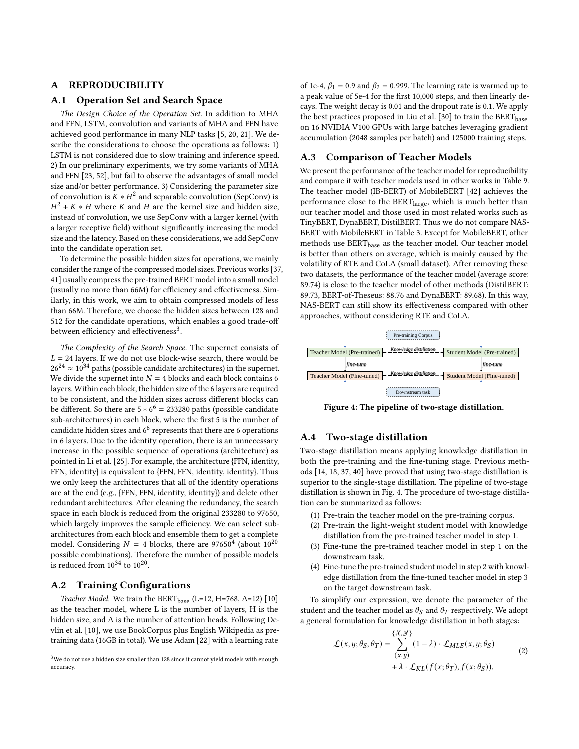# A REPRODUCIBILITY

# <span id="page-9-0"></span>A.1 Operation Set and Search Space

The Design Choice of the Operation Set. In addition to MHA and FFN, LSTM, convolution and variants of MHA and FFN have achieved good performance in many NLP tasks [\[5,](#page-7-0) [20,](#page-8-15) [21\]](#page-8-30). We describe the considerations to choose the operations as follows: 1) LSTM is not considered due to slow training and inference speed. 2) In our preliminary experiments, we try some variants of MHA and FFN [\[23,](#page-8-44) [52\]](#page-8-45), but fail to observe the advantages of small model size and/or better performance. 3) Considering the parameter size of convolution is  $K * H^2$  and separable convolution (SepConv) is  $H^2 + K * H$  where K and H are the kernel size and hidden size, instead of convolution, we use SepConv with a larger kernel (with a larger receptive field) without significantly increasing the model size and the latency. Based on these considerations, we add SepConv into the candidate operation set.

To determine the possible hidden sizes for operations, we mainly consider the range of the compressed model sizes. Previous works [\[37,](#page-8-11) [41\]](#page-8-13) usually compress the pre-trained BERT model into a small model (usually no more than 66M) for efficiency and effectiveness. Similarly, in this work, we aim to obtain compressed models of less than 66M. Therefore, we choose the hidden sizes between 128 and 512 for the candidate operations, which enables a good trade-off between efficiency and effectiveness<sup>[3](#page-9-2)</sup>.

The Complexity of the Search Space. The supernet consists of  $L = 24$  layers. If we do not use block-wise search, there would be  $26^{24} \approx 10^{34}$  paths (possible candidate architectures) in the supernet. We divide the supernet into  $N = 4$  blocks and each block contains 6 layers. Within each block, the hidden size of the 6 layers are required to be consistent, and the hidden sizes across different blocks can be different. So there are  $5 * 6^6 = 233280$  paths (possible candidate sub-architectures) in each block, where the first 5 is the number of candidate hidden sizes and  $6^6$  represents that there are 6 operations in 6 layers. Due to the identity operation, there is an unnecessary increase in the possible sequence of operations (architecture) as pointed in Li et al. [\[25\]](#page-8-17). For example, the architecture {FFN, identity, FFN, identity} is equivalent to {FFN, FFN, identity, identity}. Thus we only keep the architectures that all of the identity operations are at the end (e.g., {FFN, FFN, identity, identity}) and delete other redundant architectures. After cleaning the redundancy, the search space in each block is reduced from the original 233280 to 97650, which largely improves the sample efficiency. We can select subarchitectures from each block and ensemble them to get a complete model. Considering  $N = 4$  blocks, there are 97650<sup>4</sup> (about  $10^{20}$ possible combinations). Therefore the number of possible models is reduced from  $10^{34}$  to  $10^{20}$ .

# <span id="page-9-1"></span>A.2 Training Configurations

Teacher Model. We train the  $BERT_{base}$  (L=12, H=768, A=12) [\[10\]](#page-8-1) as the teacher model, where L is the number of layers, H is the hidden size, and A is the number of attention heads. Following Devlin et al. [\[10\]](#page-8-1), we use BookCorpus plus English Wikipedia as pretraining data (16GB in total). We use Adam [\[22\]](#page-8-46) with a learning rate

<span id="page-9-2"></span>

of 1e-4,  $\beta_1 = 0.9$  and  $\beta_2 = 0.999$ . The learning rate is warmed up to a peak value of 5e-4 for the first 10,000 steps, and then linearly decays. The weight decay is 0.01 and the dropout rate is 0.1. We apply the best practices proposed in Liu et al. [\[30\]](#page-8-3) to train the  $BERT_{base}$ on 16 NVIDIA V100 GPUs with large batches leveraging gradient accumulation (2048 samples per batch) and 125000 training steps.

# A.3 Comparison of Teacher Models

We present the performance of the teacher model for reproducibility and compare it with teacher models used in other works in Table [9.](#page-10-2) The teacher model (IB-BERT) of MobileBERT [\[42\]](#page-8-41) achieves the performance close to the BERT<sub>large</sub>, which is much better than our teacher model and those used in most related works such as TinyBERT, DynaBERT, DistilBERT. Thus we do not compare NAS-BERT with MobileBERT in Table [3.](#page-5-0) Except for MobileBERT, other methods use BERT<sub>base</sub> as the teacher model. Our teacher model is better than others on average, which is mainly caused by the volatility of RTE and CoLA (small dataset). After removing these two datasets, the performance of the teacher model (average score: 89.74) is close to the teacher model of other methods (DistilBERT: 89.73, BERT-of-Theseus: 88.76 and DynaBERT: 89.68). In this way, NAS-BERT can still show its effectiveness compared with other approaches, without considering RTE and CoLA.

<span id="page-9-3"></span>

Figure 4: The pipeline of two-stage distillation.

## A.4 Two-stage distillation

Two-stage distillation means applying knowledge distillation in both the pre-training and the fine-tuning stage. Previous methods [\[14,](#page-8-4) [18,](#page-8-10) [37,](#page-8-11) [40\]](#page-8-12) have proved that using two-stage distillation is superior to the single-stage distillation. The pipeline of two-stage distillation is shown in Fig. [4.](#page-9-3) The procedure of two-stage distillation can be summarized as follows:

- (1) Pre-train the teacher model on the pre-training corpus.
- (2) Pre-train the light-weight student model with knowledge distillation from the pre-trained teacher model in step 1.
- (3) Fine-tune the pre-trained teacher model in step 1 on the downstream task.
- (4) Fine-tune the pre-trained student model in step 2 with knowledge distillation from the fine-tuned teacher model in step 3 on the target downstream task.

To simplify our expression, we denote the parameter of the student and the teacher model as  $\theta_S$  and  $\theta_T$  respectively. We adopt a general formulation for knowledge distillation in both stages:

$$
\mathcal{L}(x, y; \theta_S, \theta_T) = \sum_{(x, y)}^{\{X, Y\}} (1 - \lambda) \cdot \mathcal{L}_{MLE}(x, y; \theta_S)
$$
  
+  $\lambda \cdot \mathcal{L}_{KL}(f(x; \theta_T), f(x; \theta_S)),$  (2)